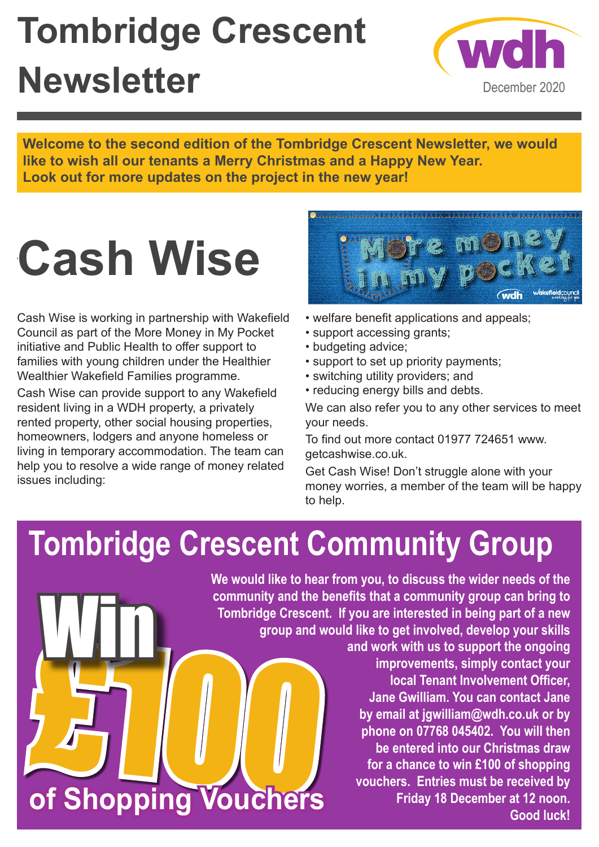## **Tombridge Crescent Newsletter**



**Welcome to the second edition of the Tombridge Crescent Newsletter, we would like to wish all our tenants a Merry Christmas and a Happy New Year. Look out for more updates on the project in the new year!**

# **Cash Wise**

Cash Wise is working in partnership with Wakefield Council as part of the More Money in My Pocket initiative and Public Health to offer support to families with young children under the Healthier Wealthier Wakefield Families programme.

Cash Wise can provide support to any Wakefield resident living in a WDH property, a privately rented property, other social housing properties, homeowners, lodgers and anyone homeless or living in temporary accommodation. The team can help you to resolve a wide range of money related issues including:

Win



- welfare benefit applications and appeals;
- support accessing grants;
- budgeting advice;
- support to set up priority payments;
- switching utility providers; and
- reducing energy bills and debts.

We can also refer you to any other services to meet your needs.

To find out more contact 01977 724651 www. getcashwise.co.uk.

Get Cash Wise! Don't struggle alone with your money worries, a member of the team will be happy to help.

### **Tombridge Crescent Community Group**

 $\int_{\mathbb{R}}\prod_{\omega\in\mathbb{R}}\left(\begin{array}{c} \omega\wedge\omega\wedge\omega\wedge\omega\wedge\omega\end{array}\right)$ **We would like to hear from you, to discuss the wider needs of the community and the benefits that a community group can bring to Tombridge Crescent. If you are interested in being part of a new group and would like to get involved, develop your skills and work with us to support the ongoing improvements, simply contact your local Tenant Involvement Officer, Jane Gwilliam. You can contact Jane by email at jgwilliam@wdh.co.uk or by phone on 07768 045402. You will then be entered into our Christmas draw for a chance to win £100 of shopping vouchers. Entries must be received by** 

**of Shopping Vouchers**

**Good luck!** 

**Friday 18 December at 12 noon.**